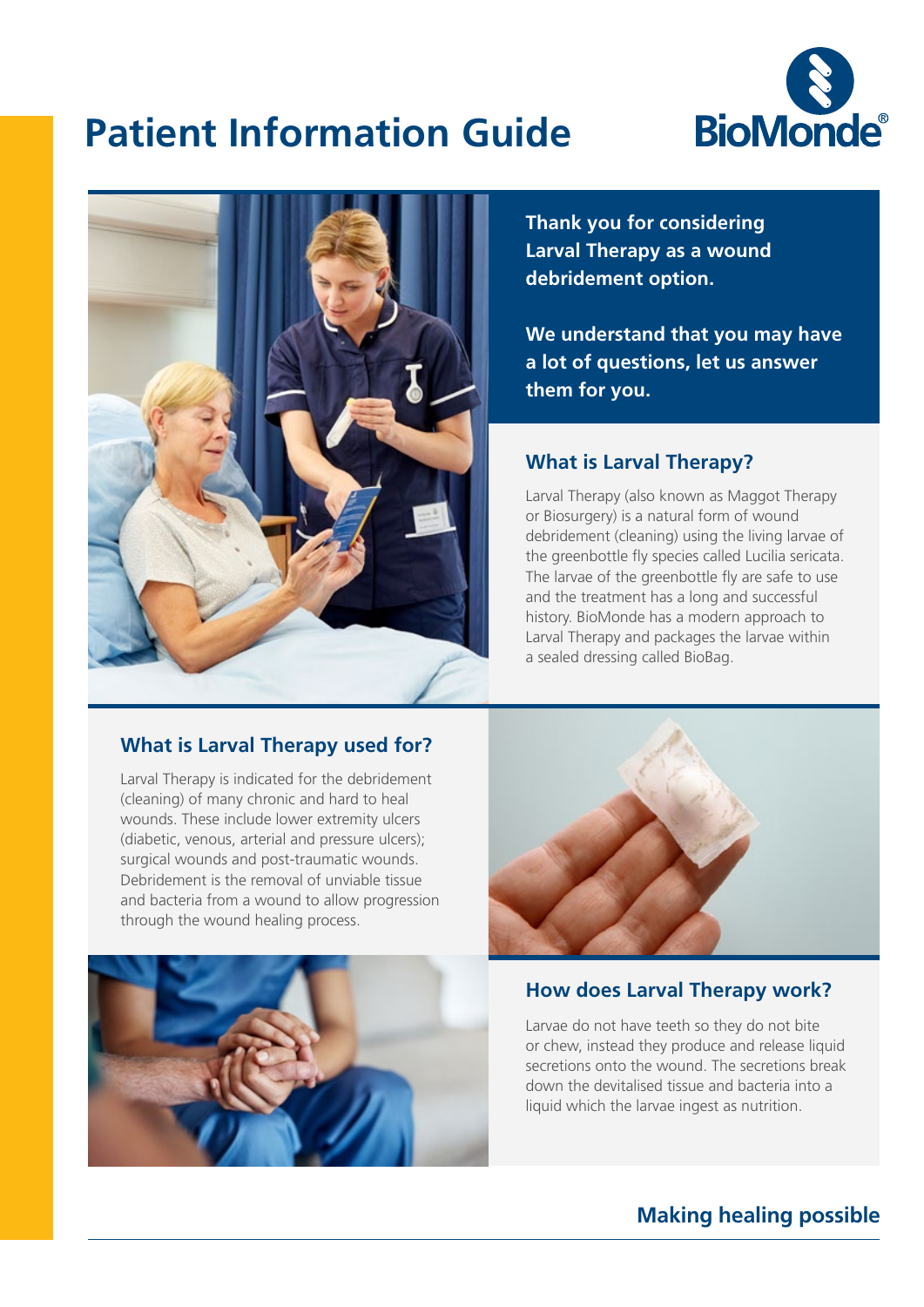

## **Patient Information Guide**



**Thank you for considering Larval Therapy as a wound debridement option.**

**We understand that you may have a lot of questions, let us answer them for you.**

#### **What is Larval Therapy?**

Larval Therapy (also known as Maggot Therapy or Biosurgery) is a natural form of wound debridement (cleaning) using the living larvae of the greenbottle fly species called Lucilia sericata. The larvae of the greenbottle fly are safe to use and the treatment has a long and successful history. BioMonde has a modern approach to Larval Therapy and packages the larvae within a sealed dressing called BioBag.

#### **What is Larval Therapy used for?**

Larval Therapy is indicated for the debridement (cleaning) of many chronic and hard to heal wounds. These include lower extremity ulcers (diabetic, venous, arterial and pressure ulcers); surgical wounds and post-traumatic wounds. Debridement is the removal of unviable tissue and bacteria from a wound to allow progression through the wound healing process.





#### **How does Larval Therapy work?**

Larvae do not have teeth so they do not bite or chew, instead they produce and release liquid secretions onto the wound. The secretions break down the devitalised tissue and bacteria into a liquid which the larvae ingest as nutrition.